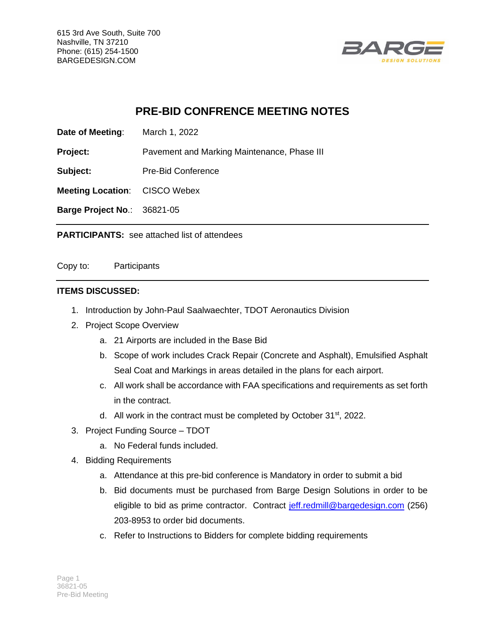615 3rd Ave South, Suite 700 Nashville, TN 37210 Phone: (615) 254-1500 BARGEDESIGN.COM



## **PRE-BID CONFRENCE MEETING NOTES**

**Date of Meeting**: March 1, 2022

**Project:** Pavement and Marking Maintenance, Phase III

**Subject:** Pre-Bid Conference

**Meeting Location**: CISCO Webex

**Barge Project No**.: 36821-05

**PARTICIPANTS:** see attached list of attendees

Copy to: Participants

## **ITEMS DISCUSSED:**

- 1. Introduction by John-Paul Saalwaechter, TDOT Aeronautics Division
- 2. Project Scope Overview
	- a. 21 Airports are included in the Base Bid
	- b. Scope of work includes Crack Repair (Concrete and Asphalt), Emulsified Asphalt Seal Coat and Markings in areas detailed in the plans for each airport.
	- c. All work shall be accordance with FAA specifications and requirements as set forth in the contract.
	- d. All work in the contract must be completed by October  $31<sup>st</sup>$ , 2022.
- 3. Project Funding Source TDOT
	- a. No Federal funds included.
- 4. Bidding Requirements
	- a. Attendance at this pre-bid conference is Mandatory in order to submit a bid
	- b. Bid documents must be purchased from Barge Design Solutions in order to be eligible to bid as prime contractor. Contract [jeff.redmill@bargedesign.com](mailto:jeff.redmill@bargedesign.com) (256) 203-8953 to order bid documents.
	- c. Refer to Instructions to Bidders for complete bidding requirements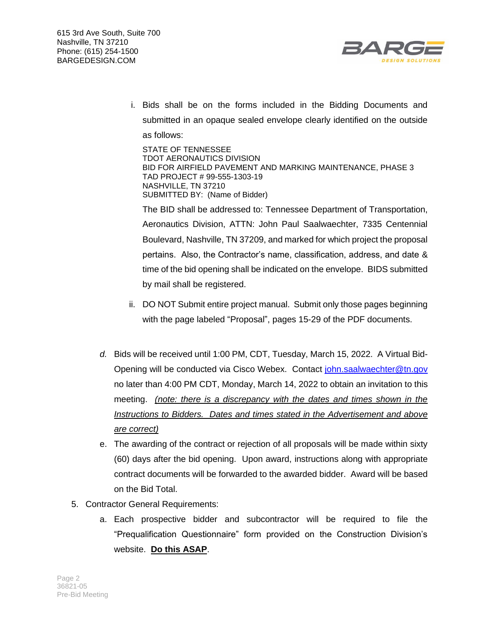



i. Bids shall be on the forms included in the Bidding Documents and submitted in an opaque sealed envelope clearly identified on the outside as follows:

STATE OF TENNESSEE TDOT AERONAUTICS DIVISION BID FOR AIRFIELD PAVEMENT AND MARKING MAINTENANCE, PHASE 3 TAD PROJECT # 99-555-1303-19 NASHVILLE, TN 37210 SUBMITTED BY: (Name of Bidder)

The BID shall be addressed to: Tennessee Department of Transportation, Aeronautics Division, ATTN: John Paul Saalwaechter, 7335 Centennial Boulevard, Nashville, TN 37209, and marked for which project the proposal pertains. Also, the Contractor's name, classification, address, and date & time of the bid opening shall be indicated on the envelope. BIDS submitted by mail shall be registered.

- ii. DO NOT Submit entire project manual. Submit only those pages beginning with the page labeled "Proposal", pages 15-29 of the PDF documents.
- *d.* Bids will be received until 1:00 PM, CDT, Tuesday, March 15, 2022. A Virtual Bid-Opening will be conducted via Cisco Webex. Contact [john.saalwaechter@tn.gov](mailto:john.saalwaechter@tn.gov) no later than 4:00 PM CDT, Monday, March 14, 2022 to obtain an invitation to this meeting. *(note: there is a discrepancy with the dates and times shown in the Instructions to Bidders. Dates and times stated in the Advertisement and above are correct)*
- e. The awarding of the contract or rejection of all proposals will be made within sixty (60) days after the bid opening. Upon award, instructions along with appropriate contract documents will be forwarded to the awarded bidder. Award will be based on the Bid Total.
- 5. Contractor General Requirements:
	- a. Each prospective bidder and subcontractor will be required to file the "Prequalification Questionnaire" form provided on the Construction Division's website. **Do this ASAP**.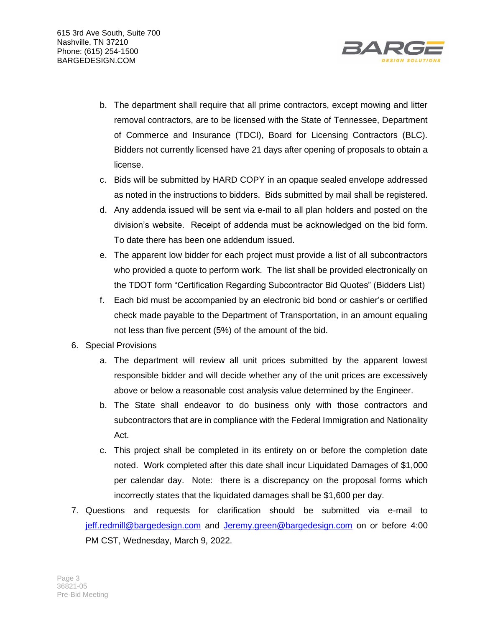

- b. The department shall require that all prime contractors, except mowing and litter removal contractors, are to be licensed with the State of Tennessee, Department of Commerce and Insurance (TDCI), Board for Licensing Contractors (BLC). Bidders not currently licensed have 21 days after opening of proposals to obtain a license.
- c. Bids will be submitted by HARD COPY in an opaque sealed envelope addressed as noted in the instructions to bidders. Bids submitted by mail shall be registered.
- d. Any addenda issued will be sent via e-mail to all plan holders and posted on the division's website. Receipt of addenda must be acknowledged on the bid form. To date there has been one addendum issued.
- e. The apparent low bidder for each project must provide a list of all subcontractors who provided a quote to perform work. The list shall be provided electronically on the TDOT form "Certification Regarding Subcontractor Bid Quotes" (Bidders List)
- f. Each bid must be accompanied by an electronic bid bond or cashier's or certified check made payable to the Department of Transportation, in an amount equaling not less than five percent (5%) of the amount of the bid.
- 6. Special Provisions
	- a. The department will review all unit prices submitted by the apparent lowest responsible bidder and will decide whether any of the unit prices are excessively above or below a reasonable cost analysis value determined by the Engineer.
	- b. The State shall endeavor to do business only with those contractors and subcontractors that are in compliance with the Federal Immigration and Nationality Act.
	- c. This project shall be completed in its entirety on or before the completion date noted. Work completed after this date shall incur Liquidated Damages of \$1,000 per calendar day. Note: there is a discrepancy on the proposal forms which incorrectly states that the liquidated damages shall be \$1,600 per day.
- 7. Questions and requests for clarification should be submitted via e-mail to [jeff.redmill@bargedesign.com](mailto:jeff.redmill@bargedesign.com) and [Jeremy.green@bargedesign.com](mailto:Jeremy.green@bargedesign.com) on or before 4:00 PM CST, Wednesday, March 9, 2022.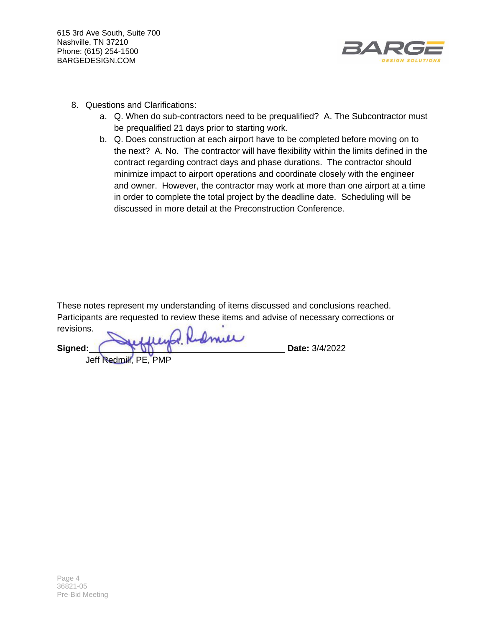615 3rd Ave South, Suite 700 Nashville, TN 37210 Phone: (615) 254-1500 BARGEDESIGN.COM



- 8. Questions and Clarifications:
	- a. Q. When do sub-contractors need to be prequalified? A. The Subcontractor must be prequalified 21 days prior to starting work.
	- b. Q. Does construction at each airport have to be completed before moving on to the next? A. No. The contractor will have flexibility within the limits defined in the contract regarding contract days and phase durations. The contractor should minimize impact to airport operations and coordinate closely with the engineer and owner. However, the contractor may work at more than one airport at a time in order to complete the total project by the deadline date. Scheduling will be discussed in more detail at the Preconstruction Conference.

These notes represent my understanding of items discussed and conclusions reached. Participants are requested to review these items and advise of necessary corrections or revisions.

Refiner **Signed: Date:** 3/4/2022

Jeff Redmill, PE, PMP